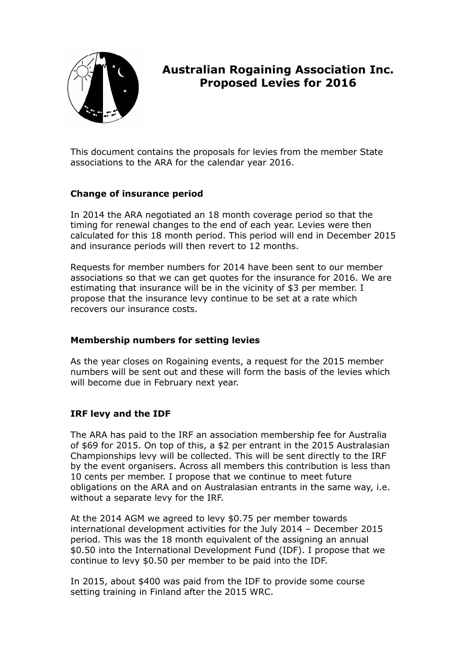

# **Australian Rogaining Association Inc. Proposed Levies for 2016**

This document contains the proposals for levies from the member State associations to the ARA for the calendar year 2016.

#### **Change of insurance period**

In 2014 the ARA negotiated an 18 month coverage period so that the timing for renewal changes to the end of each year. Levies were then calculated for this 18 month period. This period will end in December 2015 and insurance periods will then revert to 12 months.

Requests for member numbers for 2014 have been sent to our member associations so that we can get quotes for the insurance for 2016. We are estimating that insurance will be in the vicinity of \$3 per member. I propose that the insurance levy continue to be set at a rate which recovers our insurance costs.

#### **Membership numbers for setting levies**

As the year closes on Rogaining events, a request for the 2015 member numbers will be sent out and these will form the basis of the levies which will become due in February next year.

## **IRF levy and the IDF**

The ARA has paid to the IRF an association membership fee for Australia of \$69 for 2015. On top of this, a \$2 per entrant in the 2015 Australasian Championships levy will be collected. This will be sent directly to the IRF by the event organisers. Across all members this contribution is less than 10 cents per member. I propose that we continue to meet future obligations on the ARA and on Australasian entrants in the same way, i.e. without a separate levy for the IRF.

At the 2014 AGM we agreed to levy \$0.75 per member towards international development activities for the July 2014 – December 2015 period. This was the 18 month equivalent of the assigning an annual \$0.50 into the International Development Fund (IDF). I propose that we continue to levy \$0.50 per member to be paid into the IDF.

In 2015, about \$400 was paid from the IDF to provide some course setting training in Finland after the 2015 WRC.